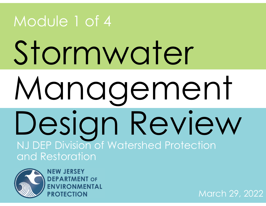# Stormwater Management Design Review<br>NJ DEP Division of Watershed Protection and Restoration Module 1 of 4



**NEW JERSEY DEPARTMENT OF** 

March 29, 2022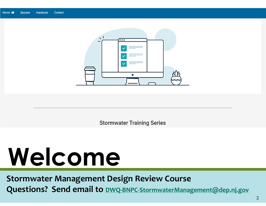

**Stormwater Training Series** 

# **Welcome**

**Stormwater Management Design Review Course Questions? Send email to DWQ‐BNPC‐StormwaterManagement@dep.nj.gov**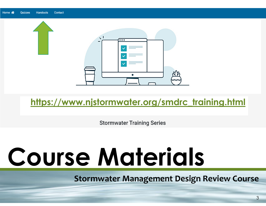

## **https://www.njstormwater.org/smdrc\_training.html**

**Stormwater Training Series** 

# **Course Materials**

**Stormwater Management Design Review Course**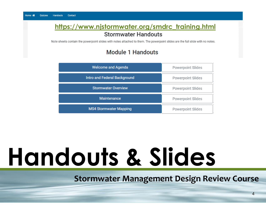## **https://www.njstormwater.org/smdrc\_training.html Stormwater Handouts**

Note sheets contain the powerpoint slides with notes attached to them. The powerpoint slides are the full slide with no notes.

### **Module 1 Handouts**

| <b>Welcome and Agenda</b>     | <b>Powerpoint Slides</b> |
|-------------------------------|--------------------------|
| Intro and Federal Background  | Powerpoint Slides        |
| <b>Stormwater Overview</b>    | <b>Powerpoint Slides</b> |
| <b>Maintenance</b>            | <b>Powerpoint Slides</b> |
| <b>MS4 Stormwater Mapping</b> | <b>Powerpoint Slides</b> |

# **Handouts & Slides**

**Stormwater Management Design Review Course**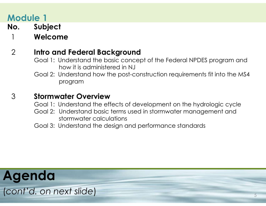**No.** Subject

1 **Welcome***(xx minutes)*

### 2Intro and Federal Background

- Goal 1: Understand the basic concept of the Federal NPDES program and how it is administered in NJ
- Goal 2: Understand how the post-construction requirements fit into the MS4 program

#### 3 **Stormwater Overview***(xx minutes)*

Goal 1: Understand the effects of development on the hydrologic cycle

Goal 2: Understand basic terms used in stormwater management and stormwater calculations

Goal 3: Understand the design and performance standards

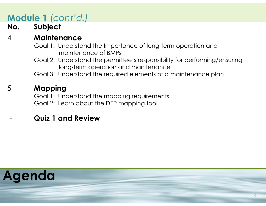# **Module 1** (*cont'd.)*

## **No.** Subject

#### 4 **Maintenance***(xx minutes)*

- Goal 1: Understand the Importance of long-term operation and maintenance of BMPs
- Goal 2: Understand the permittee's responsibility for performing/ensuring long-term operation and maintenance
- Goal 3: Understand the required elements of a maintenance plan

### 5**Mapping** *(xx minutes)*

- Goal 1: Understand the mapping requirements
- Goal 2: Learn about the DEP mapping tool

## **Quiz 1 and Review**

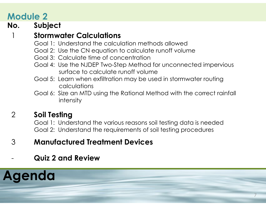1

## **No.** Subject

## **Stormwater Calculations**

- Goal 1: Understand the calculation methods allowed
- Goal 2: Use the CN equation to calculate runoff volume
- Goal 3: Calculate time of concentration
- Goal 4: Use the NJDEP Two-Step Method for unconnected impervious surface to calculate runoff volume
- Goal 5: Learn when exfiltration may be used in stormwater routing calculations
- Goal 6: Size an MTD using the Rational Method with the correct rainfall intensity

### 2**Soil Testing**

Goal 1: Understand the various reasons soil testing data is needed Goal 2: Understand the requirements of soil testing procedures

- 3**Manufactured Treatment Devices**
- **Quiz 2 and Review**

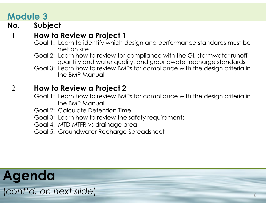## **No.** Subject

#### 1**How to Review a Project 1**

- Goal 1: Learn to identify which design and performance standards must be met on site
- Goal 2: Learn how to review for compliance with the GI, stormwater runoff quantity and water quality, and groundwater recharge standards
- Goal 3: Learn how to review BMPs for compliance with the design criteria in the BMP Manual

#### 2**How to Review a Project 2**

- Goal 1: Learn how to review BMPs for compliance with the design criteria in the BMP Manual
- Goal 2: Calculate Detention Time
- Goal 3: Learn how to review the safety requirements
- Goal 4: MTD MTFR vs drainage area
- Goal 5: Groundwater Recharge Spreadsheet



(*cont'd. on next slide*)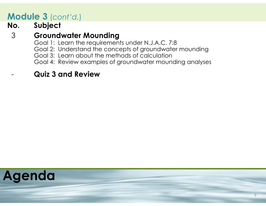# **Module 3** (*cont'd.*)

## $N$ o. Subject

#### 3**Groundwater Mounding**

- Goal 1: Learn the requirements under N.J.A.C. 7:8
- Goal 2: Understand the concepts of groundwater mounding
- Goal 3: Learn about the methods of calculation
- Goal 4: Review examples of groundwater mounding analyses

## **Quiz 3 and Review**